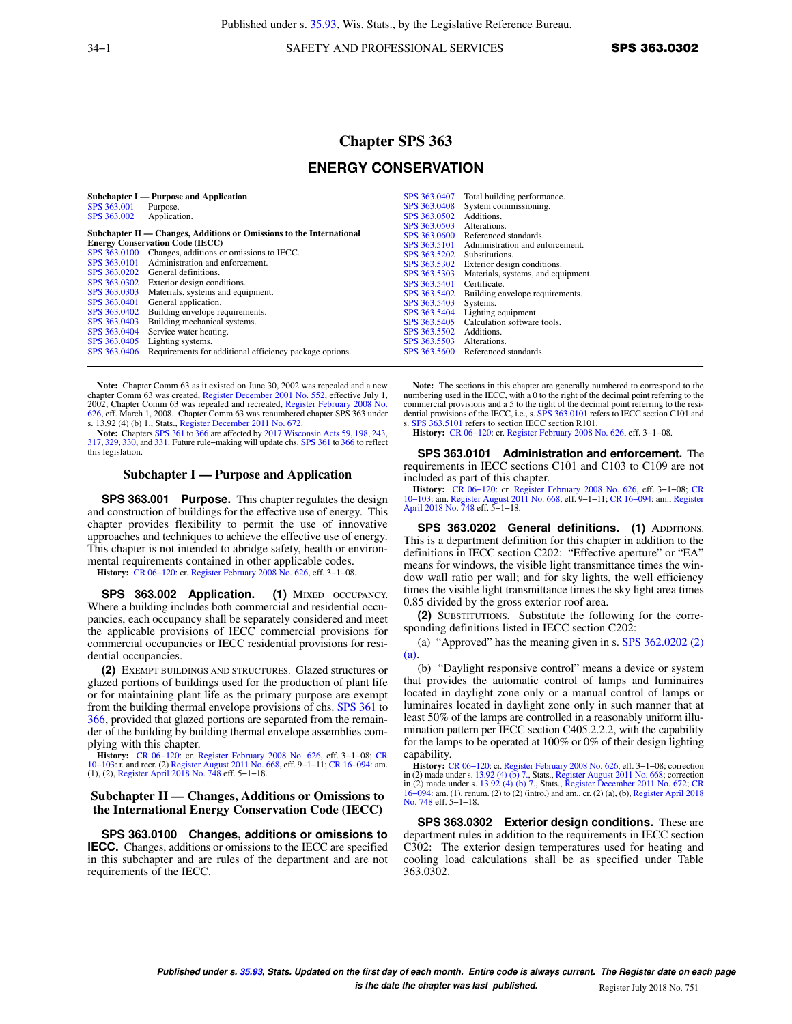34−1 SAFETY AND PROFESSIONAL SERVICES **SPS 363.0302** 

# **Chapter SPS 363**

### **ENERGY CONSERVATION**

|              | Subchapter I — Purpose and Application                               | SPS 363,0407 | Total building performance.        |
|--------------|----------------------------------------------------------------------|--------------|------------------------------------|
| SPS 363,001  | Purpose.                                                             | SPS 363,0408 | System commissioning.              |
| SPS 363,002  | Application.                                                         | SPS 363,0502 | Additions.                         |
|              |                                                                      | SPS 363,0503 | Alterations.                       |
|              | Subchapter II — Changes, Additions or Omissions to the International | SPS 363,0600 | Referenced standards.              |
|              | <b>Energy Conservation Code (IECC)</b>                               | SPS 363.5101 | Administration and enforcement.    |
|              | SPS 363.0100 Changes, additions or omissions to IECC.                | SPS 363.5202 | Substitutions.                     |
| SPS 363,0101 | Administration and enforcement.                                      | SPS 363.5302 | Exterior design conditions.        |
| SPS 363,0202 | General definitions.                                                 | SPS 363,5303 | Materials, systems, and equipment. |
|              | SPS 363.0302 Exterior design conditions.                             | SPS 363.5401 | Certificate.                       |
| SPS 363.0303 | Materials, systems and equipment.                                    | SPS 363.5402 | Building envelope requirements.    |
| SPS 363,0401 | General application.                                                 | SPS 363.5403 | Systems.                           |
| SPS 363,0402 | Building envelope requirements.                                      | SPS 363.5404 | Lighting equipment.                |
| SPS 363,0403 | Building mechanical systems.                                         | SPS 363.5405 | Calculation software tools.        |
| SPS 363.0404 | Service water heating.                                               | SPS 363.5502 | Additions.                         |
| SPS 363,0405 | Lighting systems.                                                    | SPS 363,5503 | Alterations.                       |
| SPS 363,0406 | Requirements for additional efficiency package options.              | SPS 363,5600 | Referenced standards.              |
|              |                                                                      |              |                                    |

**Note:** Chapter Comm 63 as it existed on June 30, 2002 was repealed and a new chapter Comm 63 was created, [Register December 2001 No. 552](https://docs-preview.legis.wisconsin.gov/document/register/552/B/toc), effective July 1,<br>2002; Chapter Comm 63 was repealed and recreated, [Register February 2008 No.](https://docs-preview.legis.wisconsin.gov/document/register/626/B/toc)<br>[626](https://docs-preview.legis.wisconsin.gov/document/register/626/B/toc), eff. March 1, 2008. Chapter Comm 63 was renumbered chapter SP s. 13.92 (4) (b) 1., Stats., [Register December 2011 No. 672.](https://docs-preview.legis.wisconsin.gov/document/register/672/B/toc)

**Note:** Chapters [SPS 361](https://docs-preview.legis.wisconsin.gov/document/administrativecode/ch.%20SPS%20361) to [366](https://docs-preview.legis.wisconsin.gov/document/administrativecode/ch.%20SPS%20366) are affected by [2017 Wisconsin Acts 59](https://docs-preview.legis.wisconsin.gov/document/acts/2017/59), [198,](https://docs-preview.legis.wisconsin.gov/document/acts/2017/198) [243](https://docs-preview.legis.wisconsin.gov/document/acts/2017/243), [317](https://docs-preview.legis.wisconsin.gov/document/acts/2017/317), [329,](https://docs-preview.legis.wisconsin.gov/document/acts/2017/329) [330](https://docs-preview.legis.wisconsin.gov/document/acts/2017/330), and [331.](https://docs-preview.legis.wisconsin.gov/document/acts/2017/331) Future rule−making will update chs. [SPS 361](https://docs-preview.legis.wisconsin.gov/document/administrativecode/ch.%20SPS%20361) to [366](https://docs-preview.legis.wisconsin.gov/document/administrativecode/ch.%20SPS%20366) to reflect this legislation.

#### **Subchapter I — Purpose and Application**

**SPS 363.001 Purpose.** This chapter regulates the design and construction of buildings for the effective use of energy. This chapter provides flexibility to permit the use of innovative approaches and techniques to achieve the effective use of energy. This chapter is not intended to abridge safety, health or environmental requirements contained in other applicable codes.

**History:** [CR 06−120](https://docs-preview.legis.wisconsin.gov/document/cr/2006/120): cr. [Register February 2008 No. 626](https://docs-preview.legis.wisconsin.gov/document/register/626/B/toc), eff. 3−1−08.

**SPS 363.002 Application. (1)** MIXED OCCUPANCY. Where a building includes both commercial and residential occupancies, each occupancy shall be separately considered and meet the applicable provisions of IECC commercial provisions for commercial occupancies or IECC residential provisions for residential occupancies.

**(2)** EXEMPT BUILDINGS AND STRUCTURES. Glazed structures or glazed portions of buildings used for the production of plant life or for maintaining plant life as the primary purpose are exempt from the building thermal envelope provisions of chs. [SPS 361](https://docs-preview.legis.wisconsin.gov/document/administrativecode/ch.%20SPS%20361) to [366](https://docs-preview.legis.wisconsin.gov/document/administrativecode/ch.%20SPS%20366), provided that glazed portions are separated from the remainder of the building by building thermal envelope assemblies complying with this chapter.

**History:** CR 06–120: cr. [Register February 2008 No. 626,](https://docs-preview.legis.wisconsin.gov/document/register/626/B/toc) eff. 3–1–08; [CR](https://docs-preview.legis.wisconsin.gov/document/cr/2010/103) 10–103: r. and recr. (2) [Register August 2011 No. 668](https://docs-preview.legis.wisconsin.gov/document/register/668/B/toc), eff. 9–1–11; CR 16–094: am. (1), (2), [Register April 2018 No. 748](https://docs-preview.legis.wisconsin.gov/document/register/748/B/toc) eff. 5–1–18.

#### **Subchapter II — Changes, Additions or Omissions to the International Energy Conservation Code (IECC)**

**SPS 363.0100 Changes, additions or omissions to IECC.** Changes, additions or omissions to the IECC are specified in this subchapter and are rules of the department and are not requirements of the IECC.

**Note:** The sections in this chapter are generally numbered to correspond to the numbering used in the IECC, with a 0 to the right of the decimal point referring to the commercial provisions and a 5 to the right of the decimal point referring to the resi-dential provisions of the IECC, i.e., s. [SPS 363.0101](https://docs-preview.legis.wisconsin.gov/document/administrativecode/SPS%20363.0101) refers to IECC section C101 and s. [SPS 363.5101](https://docs-preview.legis.wisconsin.gov/document/administrativecode/SPS%20363.5101) refers to section IECC section R101.

**History:** [CR 06−120:](https://docs-preview.legis.wisconsin.gov/document/cr/2006/120) cr. [Register February 2008 No. 626,](https://docs-preview.legis.wisconsin.gov/document/register/626/B/toc) eff. 3−1−08.

**SPS 363.0101 Administration and enforcement.** The requirements in IECC sections C101 and C103 to C109 are not included as part of this chapter.

**History:** CR 06–120: cr. [Register February 2008 No. 626](https://docs-preview.legis.wisconsin.gov/document/register/626/B/toc), eff. 3–1–08; [CR](https://docs-preview.legis.wisconsin.gov/document/cr/2010/103) [10−103](https://docs-preview.legis.wisconsin.gov/document/cr/2010/103): am. [Register August 2011 No. 668](https://docs-preview.legis.wisconsin.gov/document/register/668/B/toc), eff. 9–1–11; CR 16–094: am., [Register](https://docs-preview.legis.wisconsin.gov/document/register/748/B/toc) [April 2018 No. 748](https://docs-preview.legis.wisconsin.gov/document/register/748/B/toc) eff. 5–1–18.

**SPS 363.0202 General definitions. (1)** ADDITIONS. This is a department definition for this chapter in addition to the definitions in IECC section C202: "Effective aperture" or "EA" means for windows, the visible light transmittance times the window wall ratio per wall; and for sky lights, the well efficiency times the visible light transmittance times the sky light area times 0.85 divided by the gross exterior roof area.

**(2)** SUBSTITUTIONS. Substitute the following for the corresponding definitions listed in IECC section C202:

(a) "Approved" has the meaning given in s. [SPS 362.0202 \(2\)](https://docs-preview.legis.wisconsin.gov/document/administrativecode/SPS%20362.0202(2)(a)) [\(a\)](https://docs-preview.legis.wisconsin.gov/document/administrativecode/SPS%20362.0202(2)(a)).

(b) "Daylight responsive control" means a device or system that provides the automatic control of lamps and luminaires located in daylight zone only or a manual control of lamps or luminaires located in daylight zone only in such manner that at least 50% of the lamps are controlled in a reasonably uniform illumination pattern per IECC section C405.2.2.2, with the capability for the lamps to be operated at 100% or 0% of their design lighting capability.

**History:** [CR 06−120](https://docs-preview.legis.wisconsin.gov/document/cr/2006/120): cr. [Register February 2008 No. 626](https://docs-preview.legis.wisconsin.gov/document/register/626/B/toc), eff. 3−1−08; correction in (2) made under s. [13.92 \(4\) \(b\) 7.](https://docs-preview.legis.wisconsin.gov/document/statutes/13.92(4)(b)7.), Stats., [Register August 2011 No. 668;](https://docs-preview.legis.wisconsin.gov/document/register/668/B/toc) correction in (2) made under s. [13.92 \(4\) \(b\) 7.](https://docs-preview.legis.wisconsin.gov/document/statutes/13.92(4)(b)7.), Stats., [Register December 2011 No. 672](https://docs-preview.legis.wisconsin.gov/document/register/672/B/toc); [CR](https://docs-preview.legis.wisconsin.gov/document/cr/2016/94) [16−094](https://docs-preview.legis.wisconsin.gov/document/cr/2016/94): am. (1), renum. (2) to (2) (intro.) and am., cr. (2) (a), (b), [Register April 2018](https://docs-preview.legis.wisconsin.gov/document/register/748/B/toc) [No. 748](https://docs-preview.legis.wisconsin.gov/document/register/748/B/toc) eff. 5−1−18.

**SPS 363.0302 Exterior design conditions.** These are department rules in addition to the requirements in IECC section C302: The exterior design temperatures used for heating and cooling load calculations shall be as specified under Table 363.0302.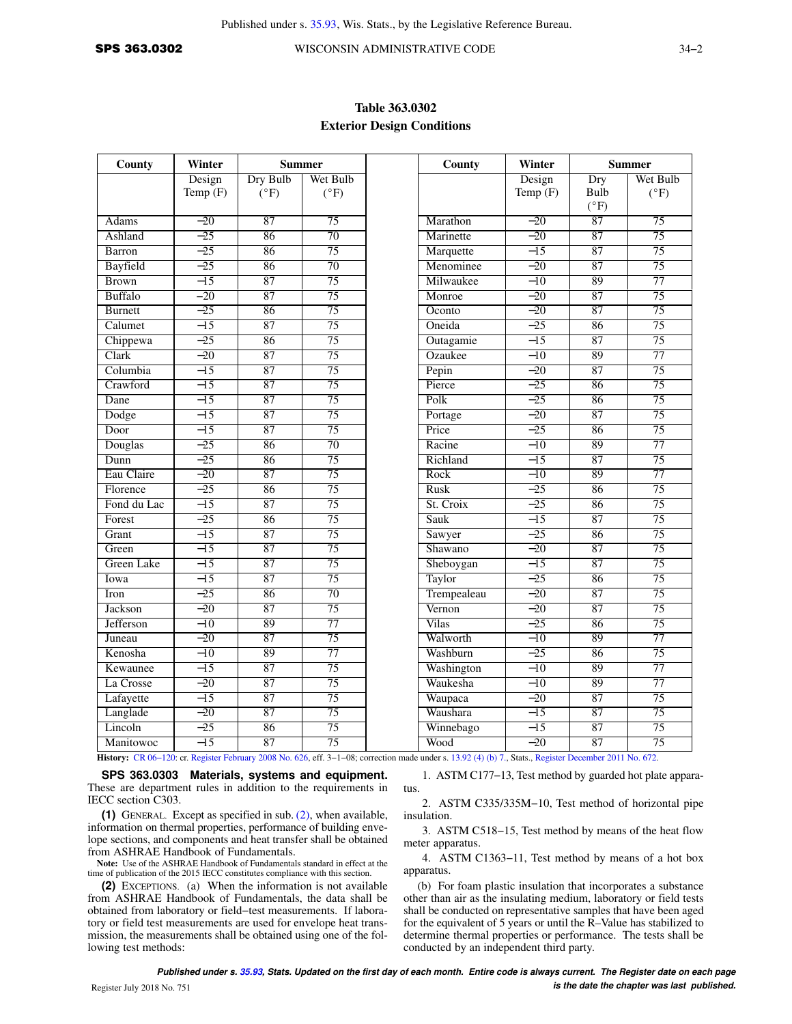## **Table 363.0302 Exterior Design Conditions**

| County            | Winter<br><b>Summer</b> |               |                 |
|-------------------|-------------------------|---------------|-----------------|
|                   | Design                  | Dry Bulb      | Wet Bulb        |
|                   | Temp $(F)$              | $(^{\circ}F)$ | $(^{\circ}F)$   |
| Adams             | $-20$                   | 87            | 75              |
| Ashland           | $-25$                   | 86            | 70              |
| Barron            | $-25$                   | 86            | 75              |
| Bayfield          | $-25$                   | 86            | 70              |
| <b>Brown</b>      | $-15$                   | 87            | 75              |
| Buffalo           | $-20$                   | 87            | 75              |
| <b>Burnett</b>    | $-25$                   | 86            | 75              |
| Calumet           | $-15$                   | 87            | 75              |
| Chippewa          | $-25$                   | 86            | 75              |
| Clark             | $-20$                   | 87            | $\overline{75}$ |
| Columbia          | $-15$                   | 87            | 75              |
| Crawford          | $-15$                   | 87            | 75              |
| Dane              | $-15$                   | 87            | 75              |
| Dodge             | $-15$                   | 87            | 75              |
| Door              | $-15$                   | 87            | 75              |
| Douglas           | $-25$                   | 86            | 70              |
| Dunn              | $-25$                   | 86            | 75              |
| Eau Claire        | $-20$                   | 87            | 75              |
| Florence          | $-25$                   | 86            | 75              |
| Fond du Lac       | $-15$                   | 87            | 75              |
| Forest            | $-25$                   | 86            | 75              |
| Grant             | $-15$                   | 87            | 75              |
| Green             | $-15$                   | 87            | 75              |
| <b>Green Lake</b> | $-15$                   | 87            | 75              |
| Iowa              | $-15$                   | 87            | 75              |
| Iron              | $-25$                   | 86            | 70              |
| Jackson           | $-20$                   | 87            | 75              |
| Jefferson         | $-10$                   | 89            | 77              |
| Juneau            | $-20$                   | 87            | 75              |
| Kenosha           | $-10$                   | 89            | 77              |
| Kewaunee          | $-15$                   | 87            | 75              |
| La Crosse         | $-20$                   | 87            | 75              |
| Lafayette         | $-15$                   | 87            | 75              |
| Langlade          | $-20$                   | 87            | 75              |
| Lincoln           | $-25$                   | 86            | 75              |
| Manitowoc         | $-15$                   | 87            | 75              |

**History:** [CR 06−120](https://docs-preview.legis.wisconsin.gov/document/cr/2006/120): cr. [Register February 2008 No. 626](https://docs-preview.legis.wisconsin.gov/document/register/626/B/toc), eff. 3−1−08; correction made under s. [13.92 \(4\) \(b\) 7.,](https://docs-preview.legis.wisconsin.gov/document/statutes/13.92(4)(b)7.) Stats., [Register December 2011 No. 672.](https://docs-preview.legis.wisconsin.gov/document/register/672/B/toc)

#### **SPS 363.0303 Materials, systems and equipment.** These are department rules in addition to the requirements in IECC section C303.

**(1)** GENERAL. Except as specified in sub. [\(2\),](https://docs-preview.legis.wisconsin.gov/document/administrativecode/SPS%20363.0303(2)) when available, information on thermal properties, performance of building envelope sections, and components and heat transfer shall be obtained from ASHRAE Handbook of Fundamentals.

**Note:** Use of the ASHRAE Handbook of Fundamentals standard in effect at the time of publication of the 2015 IECC constitutes compliance with this section.

**(2)** EXCEPTIONS. (a) When the information is not available from ASHRAE Handbook of Fundamentals, the data shall be obtained from laboratory or field−test measurements. If laboratory or field test measurements are used for envelope heat transmission, the measurements shall be obtained using one of the following test methods:

1. ASTM C177−13, Test method by guarded hot plate apparatus.

2. ASTM C335/335M−10, Test method of horizontal pipe insulation.

3. ASTM C518−15, Test method by means of the heat flow meter apparatus.

4. ASTM C1363−11, Test method by means of a hot box apparatus.

(b) For foam plastic insulation that incorporates a substance other than air as the insulating medium, laboratory or field tests shall be conducted on representative samples that have been aged for the equivalent of 5 years or until the R–Value has stabilized to determine thermal properties or performance. The tests shall be conducted by an independent third party.

**Published under s. [35.93,](https://docs-preview.legis.wisconsin.gov/document/statutes/35.93) Stats. Updated on the first day of each month. Entire code is always current. The Register date on each page** Register July 2018 No. 751 *is the date the chapter was last published.* **July 2018 No. 751 <b>***is the date the chapter was last published.*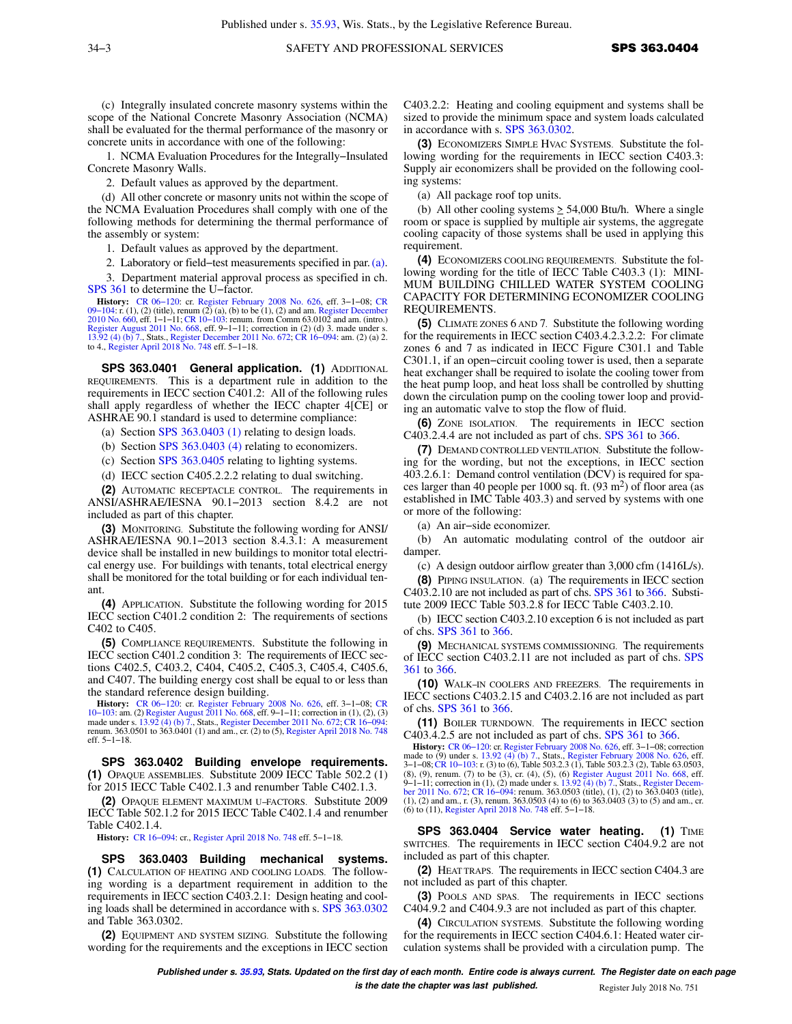(c) Integrally insulated concrete masonry systems within the scope of the National Concrete Masonry Association (NCMA) shall be evaluated for the thermal performance of the masonry or concrete units in accordance with one of the following:

1. NCMA Evaluation Procedures for the Integrally−Insulated Concrete Masonry Walls.

2. Default values as approved by the department.

(d) All other concrete or masonry units not within the scope of the NCMA Evaluation Procedures shall comply with one of the following methods for determining the thermal performance of the assembly or system:

1. Default values as approved by the department.

2. Laboratory or field−test measurements specified in par. [\(a\).](https://docs-preview.legis.wisconsin.gov/document/administrativecode/SPS%20363.0303(2)(a))

3. Department material approval process as specified in ch. [SPS 361](https://docs-preview.legis.wisconsin.gov/document/administrativecode/ch.%20SPS%20361) to determine the U−factor.

**History:** CR 06–120: cr. [Register February 2008 No. 626,](https://docs-preview.legis.wisconsin.gov/document/register/626/B/toc) eff. 3–1–08; [CR](https://docs-preview.legis.wisconsin.gov/document/cr/2009/104) 09–104: r. (1), (2) (title), renum (2) (a), (b) to be (1), (2) and am. [Register December](https://docs-preview.legis.wisconsin.gov/document/register/660/B/toc) [2010 No. 660](https://docs-preview.legis.wisconsin.gov/document/register/660/B/toc), eff. 1–1–11; CR 10–103: renum. from Comm 63.0102 and am. (intro.)<br>[Register August 2011 No. 668](https://docs-preview.legis.wisconsin.gov/document/register/668/B/toc), eff. 9–1–11; correction in (2) (d) 3. made under s.<br>[13.92 \(4\) \(b\) 7.,](https://docs-preview.legis.wisconsin.gov/document/statutes/13.92(4)(b)7.) Stats., [Register December 2011 No. 672;](https://docs-preview.legis.wisconsin.gov/document/register/672/B/toc) CR to 4., [Register April 2018 No. 748](https://docs-preview.legis.wisconsin.gov/document/register/748/B/toc) eff. 5−1−18.

**SPS 363.0401 General application. (1)** ADDITIONAL REQUIREMENTS. This is a department rule in addition to the requirements in IECC section C401.2: All of the following rules shall apply regardless of whether the IECC chapter 4[CE] or ASHRAE 90.1 standard is used to determine compliance:

(a) Section [SPS 363.0403 \(1\)](https://docs-preview.legis.wisconsin.gov/document/administrativecode/SPS%20363.0403(1)) relating to design loads.

(b) Section [SPS 363.0403 \(4\)](https://docs-preview.legis.wisconsin.gov/document/administrativecode/SPS%20363.0403(4)) relating to economizers.

(c) Section [SPS 363.0405](https://docs-preview.legis.wisconsin.gov/document/administrativecode/SPS%20363.0405) relating to lighting systems.

(d) IECC section C405.2.2.2 relating to dual switching.

**(2)** AUTOMATIC RECEPTACLE CONTROL. The requirements in ANSI/ASHRAE/IESNA 90.1−2013 section 8.4.2 are not included as part of this chapter.

**(3)** MONITORING. Substitute the following wording for ANSI/ ASHRAE/IESNA 90.1−2013 section 8.4.3.1: A measurement device shall be installed in new buildings to monitor total electrical energy use. For buildings with tenants, total electrical energy shall be monitored for the total building or for each individual tenant.

**(4)** APPLICATION. Substitute the following wording for 2015 IECC section C401.2 condition 2: The requirements of sections C402 to C405.

**(5)** COMPLIANCE REQUIREMENTS. Substitute the following in IECC section C401.2 condition 3: The requirements of IECC sections C402.5, C403.2, C404, C405.2, C405.3, C405.4, C405.6, and C407. The building energy cost shall be equal to or less than the standard reference design building.

**History:** CR 06–120: cr. [Register February 2008 No. 626,](https://docs-preview.legis.wisconsin.gov/document/register/626/B/toc) eff. 3–1–08; [CR](https://docs-preview.legis.wisconsin.gov/document/cr/2010/103) 10–103: am. (2) [Register August 2011 No. 668,](https://docs-preview.legis.wisconsin.gov/document/register/668/B/toc) eff. 9–1–11; correction in (1), (2), (3) Register August 2011 No. 668, eff. 9–1–11; correction in (1), eff. 5−1−18.

**SPS 363.0402 Building envelope requirements. (1)** OPAQUE ASSEMBLIES. Substitute 2009 IECC Table 502.2 (1) for 2015 IECC Table C402.1.3 and renumber Table C402.1.3.

**(2)** OPAQUE ELEMENT MAXIMUM U−FACTORS. Substitute 2009 IECC Table 502.1.2 for 2015 IECC Table C402.1.4 and renumber Table C402.1.4.

**History:** [CR 16−094](https://docs-preview.legis.wisconsin.gov/document/cr/2016/94): cr., [Register April 2018 No. 748](https://docs-preview.legis.wisconsin.gov/document/register/748/B/toc) eff. 5−1−18.

**SPS 363.0403 Building mechanical systems. (1)** CALCULATION OF HEATING AND COOLING LOADS. The following wording is a department requirement in addition to the requirements in IECC section C403.2.1: Design heating and cooling loads shall be determined in accordance with s. [SPS 363.0302](https://docs-preview.legis.wisconsin.gov/document/administrativecode/SPS%20363.0302) and Table 363.0302.

**(2)** EQUIPMENT AND SYSTEM SIZING. Substitute the following wording for the requirements and the exceptions in IECC section C403.2.2: Heating and cooling equipment and systems shall be sized to provide the minimum space and system loads calculated in accordance with s. [SPS 363.0302](https://docs-preview.legis.wisconsin.gov/document/administrativecode/SPS%20363.0302).

**(3)** ECONOMIZERS SIMPLE HVAC SYSTEMS. Substitute the following wording for the requirements in IECC section C403.3: Supply air economizers shall be provided on the following cooling systems:

(a) All package roof top units.

(b) All other cooling systems  $\geq 54,000$  Btu/h. Where a single room or space is supplied by multiple air systems, the aggregate cooling capacity of those systems shall be used in applying this requirement.

**(4)** ECONOMIZERS COOLING REQUIREMENTS. Substitute the following wording for the title of IECC Table C403.3 (1): MINI-MUM BUILDING CHILLED WATER SYSTEM COOLING CAPACITY FOR DETERMINING ECONOMIZER COOLING REQUIREMENTS.

**(5)** CLIMATE ZONES 6 AND 7. Substitute the following wording for the requirements in IECC section C403.4.2.3.2.2: For climate zones 6 and 7 as indicated in IECC Figure C301.1 and Table C301.1, if an open−circuit cooling tower is used, then a separate heat exchanger shall be required to isolate the cooling tower from the heat pump loop, and heat loss shall be controlled by shutting down the circulation pump on the cooling tower loop and providing an automatic valve to stop the flow of fluid.

**(6)** ZONE ISOLATION. The requirements in IECC section C403.2.4.4 are not included as part of chs. [SPS 361](https://docs-preview.legis.wisconsin.gov/document/administrativecode/ch.%20SPS%20361) to [366.](https://docs-preview.legis.wisconsin.gov/document/administrativecode/ch.%20SPS%20366)

**(7)** DEMAND CONTROLLED VENTILATION. Substitute the following for the wording, but not the exceptions, in IECC section 403.2.6.1: Demand control ventilation (DCV) is required for spaces larger than 40 people per 1000 sq. ft. (93 m<sup>2</sup> ) of floor area (as established in IMC Table 403.3) and served by systems with one or more of the following:

(a) An air−side economizer.

(b) An automatic modulating control of the outdoor air damper.

(c) A design outdoor airflow greater than 3,000 cfm (1416L/s).

**(8)** PIPING INSULATION. (a) The requirements in IECC section C403.2.10 are not included as part of chs. [SPS 361](https://docs-preview.legis.wisconsin.gov/document/administrativecode/ch.%20SPS%20361) to [366](https://docs-preview.legis.wisconsin.gov/document/administrativecode/ch.%20SPS%20366). Substitute 2009 IECC Table 503.2.8 for IECC Table C403.2.10.

(b) IECC section C403.2.10 exception 6 is not included as part of chs. [SPS 361](https://docs-preview.legis.wisconsin.gov/document/administrativecode/ch.%20SPS%20361) to [366.](https://docs-preview.legis.wisconsin.gov/document/administrativecode/ch.%20SPS%20366)

**(9)** MECHANICAL SYSTEMS COMMISSIONING. The requirements of IECC section C403.2.11 are not included as part of chs. [SPS](https://docs-preview.legis.wisconsin.gov/document/administrativecode/ch.%20SPS%20361) [361](https://docs-preview.legis.wisconsin.gov/document/administrativecode/ch.%20SPS%20361) to [366.](https://docs-preview.legis.wisconsin.gov/document/administrativecode/ch.%20SPS%20366)

**(10)** WALK−IN COOLERS AND FREEZERS. The requirements in IECC sections C403.2.15 and C403.2.16 are not included as part of chs. [SPS 361](https://docs-preview.legis.wisconsin.gov/document/administrativecode/ch.%20SPS%20361) to [366.](https://docs-preview.legis.wisconsin.gov/document/administrativecode/ch.%20SPS%20366)

**(11)** BOILER TURNDOWN. The requirements in IECC section C403.4.2.5 are not included as part of chs. [SPS 361](https://docs-preview.legis.wisconsin.gov/document/administrativecode/ch.%20SPS%20361) to [366.](https://docs-preview.legis.wisconsin.gov/document/administrativecode/ch.%20SPS%20366)

**History:** [CR 06−120](https://docs-preview.legis.wisconsin.gov/document/cr/2006/120): cr. [Register February 2008 No. 626](https://docs-preview.legis.wisconsin.gov/document/register/626/B/toc), eff. 3−1−08; correction made to (9) under s. [13.92 \(4\) \(b\) 7.,](https://docs-preview.legis.wisconsin.gov/document/statutes/13.92(4)(b)7.) Stats., [Register February 2008 No. 626,](https://docs-preview.legis.wisconsin.gov/document/register/626/B/toc) eff. 3−1−08;[CR 10−103:](https://docs-preview.legis.wisconsin.gov/document/cr/2010/103) r. (3) to (6), Table 503.2.3 (1), Table 503.2.3 (2), Table 63.0503, (8), (9), renum. (7) to be (3), cr. (4), (5), (6) [Register August 2011 No. 668,](https://docs-preview.legis.wisconsin.gov/document/register/668/B/toc) eff. 9–1–11; correction in (1), (2) made under s. [13.92 \(4\) \(b\) 7.,](https://docs-preview.legis.wisconsin.gov/document/statutes/13.92(4)(b)7.) Stats., Register Decem[ber 2011 No. 672](https://docs-preview.legis.wisconsin.gov/document/register/672/B/toc); CR 16–094: renum. 363.0503 (itile), (1), (2) to 363.0403 (itile), (1), (2) to 363.0403 (itile), (1), (2) to 363.0403 (

**SPS 363.0404 Service water heating. (1)** TIME SWITCHES. The requirements in IECC section C404.9.2 are not included as part of this chapter.

**(2)** HEAT TRAPS. The requirements in IECC section C404.3 are not included as part of this chapter.

**(3)** POOLS AND SPAS. The requirements in IECC sections C404.9.2 and C404.9.3 are not included as part of this chapter.

**(4)** CIRCULATION SYSTEMS. Substitute the following wording for the requirements in IECC section C404.6.1: Heated water circulation systems shall be provided with a circulation pump. The

**Published under s. [35.93,](https://docs-preview.legis.wisconsin.gov/document/statutes/35.93) Stats. Updated on the first day of each month. Entire code is always current. The Register date on each page**

**is the date the chapter was last published.** Register July 2018 No. 751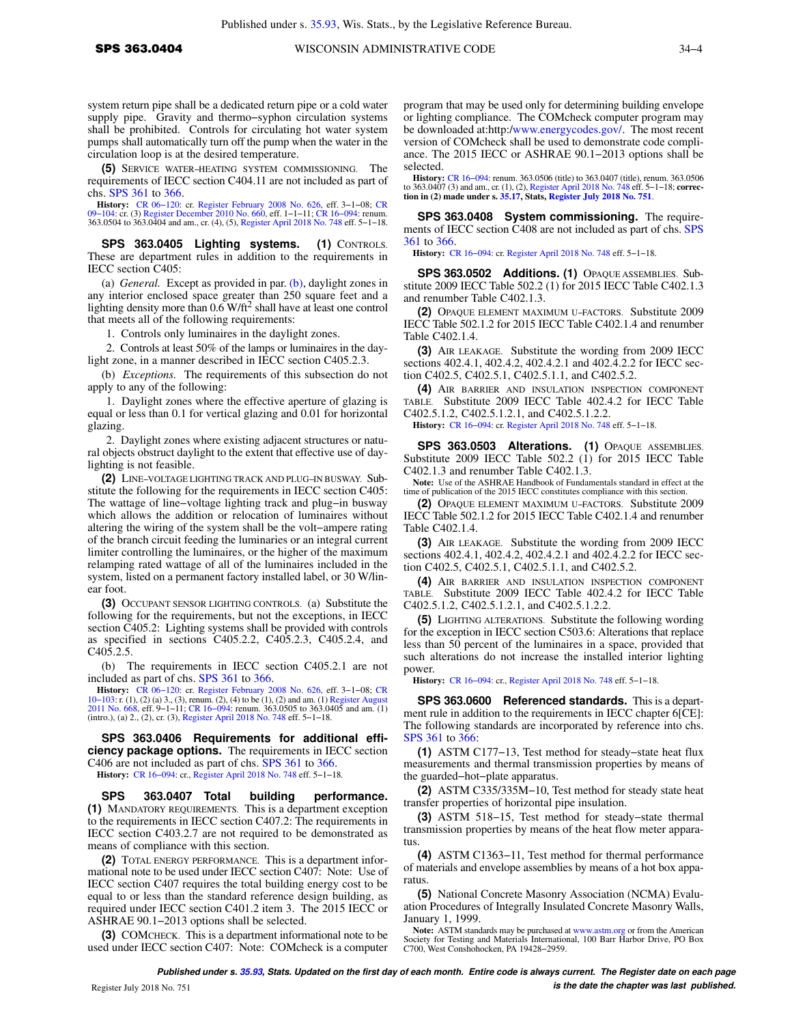system return pipe shall be a dedicated return pipe or a cold water supply pipe. Gravity and thermo−syphon circulation systems shall be prohibited. Controls for circulating hot water system pumps shall automatically turn off the pump when the water in the circulation loop is at the desired temperature.

**(5)** SERVICE WATER−HEATING SYSTEM COMMISSIONING. The requirements of IECC section C404.11 are not included as part of chs. [SPS 361](https://docs-preview.legis.wisconsin.gov/document/administrativecode/ch.%20SPS%20361) to [366](https://docs-preview.legis.wisconsin.gov/document/administrativecode/ch.%20SPS%20366).

**History:** [CR 06−120:](https://docs-preview.legis.wisconsin.gov/document/cr/2006/120) cr. [Register February 2008 No. 626,](https://docs-preview.legis.wisconsin.gov/document/register/626/B/toc) eff. 3−1−08; [CR](https://docs-preview.legis.wisconsin.gov/document/cr/2009/104) [09−104:](https://docs-preview.legis.wisconsin.gov/document/cr/2009/104) cr. (3) [Register December 2010 No. 660](https://docs-preview.legis.wisconsin.gov/document/register/660/B/toc), eff. 1−1−11; [CR 16−094:](https://docs-preview.legis.wisconsin.gov/document/cr/2016/94) renum. 363.0504 to 363.0404 and am., cr. (4), (5), [Register April 2018 No. 748](https://docs-preview.legis.wisconsin.gov/document/register/748/B/toc) eff. 5−1−18.

**SPS 363.0405 Lighting systems. (1)** CONTROLS. These are department rules in addition to the requirements in IECC section C405:

(a) *General.* Except as provided in par. [\(b\)](https://docs-preview.legis.wisconsin.gov/document/administrativecode/SPS%20363.0405(1)(b)), daylight zones in any interior enclosed space greater than 250 square feet and a lighting density more than 0.6 W/ft<sup>2</sup> shall have at least one control that meets all of the following requirements:

1. Controls only luminaires in the daylight zones.

2. Controls at least 50% of the lamps or luminaires in the daylight zone, in a manner described in IECC section C405.2.3.

(b) *Exceptions.* The requirements of this subsection do not apply to any of the following:

1. Daylight zones where the effective aperture of glazing is equal or less than 0.1 for vertical glazing and 0.01 for horizontal glazing.

2. Daylight zones where existing adjacent structures or natural objects obstruct daylight to the extent that effective use of daylighting is not feasible.

**(2)** LINE−VOLTAGE LIGHTING TRACK AND PLUG−IN BUSWAY. Substitute the following for the requirements in IECC section C405: The wattage of line−voltage lighting track and plug−in busway which allows the addition or relocation of luminaires without altering the wiring of the system shall be the volt−ampere rating of the branch circuit feeding the luminaries or an integral current limiter controlling the luminaires, or the higher of the maximum relamping rated wattage of all of the luminaires included in the system, listed on a permanent factory installed label, or 30 W/linear foot.

**(3)** OCCUPANT SENSOR LIGHTING CONTROLS. (a) Substitute the following for the requirements, but not the exceptions, in IECC section C405.2: Lighting systems shall be provided with controls as specified in sections C405.2.2, C405.2.3, C405.2.4, and  $C40\overline{5}.2.5.$ 

(b) The requirements in IECC section C405.2.1 are not included as part of chs. [SPS 361](https://docs-preview.legis.wisconsin.gov/document/administrativecode/ch.%20SPS%20361) to [366.](https://docs-preview.legis.wisconsin.gov/document/administrativecode/ch.%20SPS%20366)

**History:** CR 06–120: cr. [Register February 2008 No. 626,](https://docs-preview.legis.wisconsin.gov/document/register/626/B/toc) eff. 3–1–08; [CR](https://docs-preview.legis.wisconsin.gov/document/cr/2010/103) 10–103: r. (1), (2) (a) 3., (3), renum. (2), (4) to be (1), (2) and am. (1) [Register August](https://docs-preview.legis.wisconsin.gov/document/register/668/B/toc) [2011 No. 668](https://docs-preview.legis.wisconsin.gov/document/register/668/B/toc), eff. 9−1−11; [CR 16−094](https://docs-preview.legis.wisconsin.gov/document/cr/2016/94): renum. 363.0505 to 363.0405 and am. (1) (intro.), (a) 2., (2), cr. (3), [Register April 2018 No. 748](https://docs-preview.legis.wisconsin.gov/document/register/748/B/toc) eff. 5−1−18.

**SPS 363.0406 Requirements for additional efficiency package options.** The requirements in IECC section C406 are not included as part of chs. [SPS 361](https://docs-preview.legis.wisconsin.gov/document/administrativecode/ch.%20SPS%20361) to [366.](https://docs-preview.legis.wisconsin.gov/document/administrativecode/ch.%20SPS%20366)

**History:** [CR 16−094](https://docs-preview.legis.wisconsin.gov/document/cr/2016/94): cr., [Register April 2018 No. 748](https://docs-preview.legis.wisconsin.gov/document/register/748/B/toc) eff. 5−1−18.

**SPS 363.0407 Total building performance. (1)** MANDATORY REQUIREMENTS. This is a department exception to the requirements in IECC section C407.2: The requirements in IECC section C403.2.7 are not required to be demonstrated as means of compliance with this section.

**(2)** TOTAL ENERGY PERFORMANCE. This is a department informational note to be used under IECC section C407: Note: Use of IECC section C407 requires the total building energy cost to be equal to or less than the standard reference design building, as required under IECC section C401.2 item 3. The 2015 IECC or ASHRAE 90.1−2013 options shall be selected.

**(3)** COMCHECK. This is a department informational note to be used under IECC section C407: Note: COMcheck is a computer

program that may be used only for determining building envelope or lighting compliance. The COMcheck computer program may be downloaded at:http:/[www.energycodes.gov/](http://www.energycodes.gov/). The most recent version of COMcheck shall be used to demonstrate code compliance. The 2015 IECC or ASHRAE 90.1−2013 options shall be selected.

**History:** CR 16–094: renum. 363.0506 (title) to 363.0407 (title), renum. 363.0506 to 363.0407 (3) and am., cr. (1), (2), [Register April 2018 No. 748](https://docs-preview.legis.wisconsin.gov/document/register/748/B/toc) eff. 5–1–18; **correction in (2) made under s. [35.17,](https://docs-preview.legis.wisconsin.gov/document/statutes/35.17) Stats, [Register July 2018 No. 751](https://docs-preview.legis.wisconsin.gov/document/register/751/B/toc)**.

**SPS 363.0408 System commissioning.** The requirements of IECC section C408 are not included as part of chs. [SPS](https://docs-preview.legis.wisconsin.gov/document/administrativecode/ch.%20SPS%20361) [361](https://docs-preview.legis.wisconsin.gov/document/administrativecode/ch.%20SPS%20361) to [366.](https://docs-preview.legis.wisconsin.gov/document/administrativecode/ch.%20SPS%20366)

**History:** [CR 16−094:](https://docs-preview.legis.wisconsin.gov/document/cr/2016/94) cr. [Register April 2018 No. 748](https://docs-preview.legis.wisconsin.gov/document/register/748/B/toc) eff. 5−1−18.

**SPS 363.0502 Additions. (1)** OPAQUE ASSEMBLIES. Substitute 2009 IECC Table 502.2 (1) for 2015 IECC Table C402.1.3 and renumber Table C402.1.3.

**(2)** OPAQUE ELEMENT MAXIMUM U−FACTORS. Substitute 2009 IECC Table 502.1.2 for 2015 IECC Table C402.1.4 and renumber Table C402.1.4.

**(3)** AIR LEAKAGE. Substitute the wording from 2009 IECC sections 402.4.1, 402.4.2, 402.4.2.1 and 402.4.2.2 for IECC section C402.5, C402.5.1, C402.5.1.1, and C402.5.2.

**(4)** AIR BARRIER AND INSULATION INSPECTION COMPONENT TABLE. Substitute 2009 IECC Table 402.4.2 for IECC Table C402.5.1.2, C402.5.1.2.1, and C402.5.1.2.2.

**History:** [CR 16−094:](https://docs-preview.legis.wisconsin.gov/document/cr/2016/94) cr. [Register April 2018 No. 748](https://docs-preview.legis.wisconsin.gov/document/register/748/B/toc) eff. 5−1−18.

**SPS 363.0503 Alterations. (1)** OPAQUE ASSEMBLIES. Substitute 2009 IECC Table 502.2 (1) for 2015 IECC Table C402.1.3 and renumber Table C402.1.3.

**Note:** Use of the ASHRAE Handbook of Fundamentals standard in effect at the time of publication of the 2015 IECC constitutes compliance with this section.

**(2)** OPAQUE ELEMENT MAXIMUM U−FACTORS. Substitute 2009 IECC Table 502.1.2 for 2015 IECC Table C402.1.4 and renumber Table C402.1.4.

**(3)** AIR LEAKAGE. Substitute the wording from 2009 IECC sections 402.4.1, 402.4.2, 402.4.2.1 and 402.4.2.2 for IECC section C402.5, C402.5.1, C402.5.1.1, and C402.5.2.

**(4)** AIR BARRIER AND INSULATION INSPECTION COMPONENT TABLE. Substitute 2009 IECC Table 402.4.2 for IECC Table C402.5.1.2, C402.5.1.2.1, and C402.5.1.2.2.

**(5)** LIGHTING ALTERATIONS. Substitute the following wording for the exception in IECC section C503.6: Alterations that replace less than 50 percent of the luminaires in a space, provided that such alterations do not increase the installed interior lighting power.

**History:** [CR 16−094:](https://docs-preview.legis.wisconsin.gov/document/cr/2016/94) cr., [Register April 2018 No. 748](https://docs-preview.legis.wisconsin.gov/document/register/748/B/toc) eff. 5−1−18.

**SPS 363.0600 Referenced standards.** This is a department rule in addition to the requirements in IECC chapter 6[CE]: The following standards are incorporated by reference into chs. [SPS 361](https://docs-preview.legis.wisconsin.gov/document/administrativecode/ch.%20SPS%20361) to [366](https://docs-preview.legis.wisconsin.gov/document/administrativecode/ch.%20SPS%20366):

**(1)** ASTM C177−13, Test method for steady−state heat flux measurements and thermal transmission properties by means of the guarded−hot−plate apparatus.

**(2)** ASTM C335/335M−10, Test method for steady state heat transfer properties of horizontal pipe insulation.

**(3)** ASTM 518−15, Test method for steady−state thermal transmission properties by means of the heat flow meter apparatus.

**(4)** ASTM C1363−11, Test method for thermal performance of materials and envelope assemblies by means of a hot box apparatus.

**(5)** National Concrete Masonry Association (NCMA) Evaluation Procedures of Integrally Insulated Concrete Masonry Walls, January 1, 1999.

**Note:** ASTM standards may be purchased at [www.astm.org](http://www.astm.org) or from the American Society for Testing and Materials International, 100 Barr Harbor Drive, PO Box C700, West Conshohocken, PA 19428−2959.

**Published under s. [35.93,](https://docs-preview.legis.wisconsin.gov/document/statutes/35.93) Stats. Updated on the first day of each month. Entire code is always current. The Register date on each page** Register July 2018 No. 751 *Register July 2018 No. 751 is the date the chapter was last published.*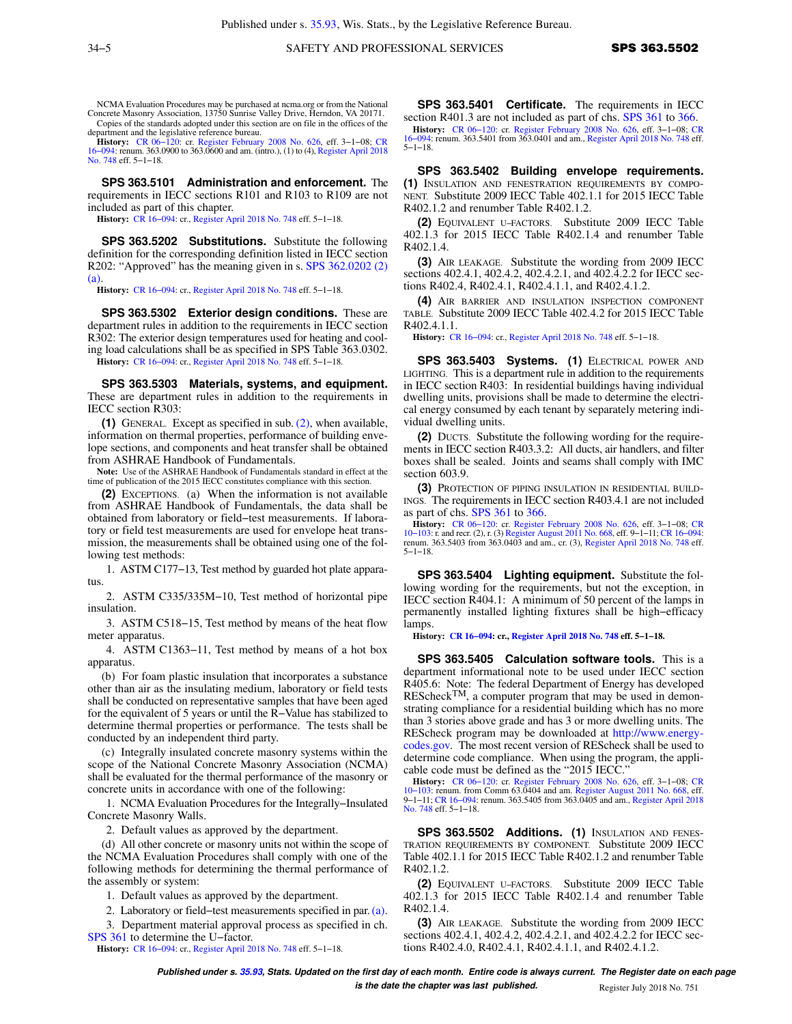NCMA Evaluation Procedures may be purchased at ncma.org or from the National Concrete Masonry Association, 13750 Sunrise Valley Drive, Herndon, VA 20171. Copies of the standards adopted under this section are on file in the offices of the department and the legislative reference bureau.

**History:** [CR 06−120:](https://docs-preview.legis.wisconsin.gov/document/cr/2006/120) cr. [Register February 2008 No. 626,](https://docs-preview.legis.wisconsin.gov/document/register/626/B/toc) eff. 3−1−08; [CR](https://docs-preview.legis.wisconsin.gov/document/cr/2016/94) [16−094:](https://docs-preview.legis.wisconsin.gov/document/cr/2016/94) renum. 363.0900 to 363.0600 and am. (intro.), (1) to (4), [Register April 2018](https://docs-preview.legis.wisconsin.gov/document/register/748/B/toc) [No. 748](https://docs-preview.legis.wisconsin.gov/document/register/748/B/toc) eff. 5−1−18.

**SPS 363.5101 Administration and enforcement.** The requirements in IECC sections R101 and R103 to R109 are not included as part of this chapter.

**History:** [CR 16−094](https://docs-preview.legis.wisconsin.gov/document/cr/2016/94): cr., [Register April 2018 No. 748](https://docs-preview.legis.wisconsin.gov/document/register/748/B/toc) eff. 5−1−18.

**SPS 363.5202 Substitutions.** Substitute the following definition for the corresponding definition listed in IECC section R202: "Approved" has the meaning given in s. [SPS 362.0202 \(2\)](https://docs-preview.legis.wisconsin.gov/document/administrativecode/SPS%20362.0202(2)(a)) [\(a\).](https://docs-preview.legis.wisconsin.gov/document/administrativecode/SPS%20362.0202(2)(a))

**History:** [CR 16−094](https://docs-preview.legis.wisconsin.gov/document/cr/2016/94): cr., [Register April 2018 No. 748](https://docs-preview.legis.wisconsin.gov/document/register/748/B/toc) eff. 5−1−18.

**SPS 363.5302 Exterior design conditions.** These are department rules in addition to the requirements in IECC section R302: The exterior design temperatures used for heating and cooling load calculations shall be as specified in SPS Table 363.0302.

**History:** [CR 16−094](https://docs-preview.legis.wisconsin.gov/document/cr/2016/94): cr., [Register April 2018 No. 748](https://docs-preview.legis.wisconsin.gov/document/register/748/B/toc) eff. 5−1−18.

**SPS 363.5303 Materials, systems, and equipment.** These are department rules in addition to the requirements in IECC section R303:

**(1)** GENERAL. Except as specified in sub. [\(2\),](https://docs-preview.legis.wisconsin.gov/document/administrativecode/SPS%20363.5303(2)) when available, information on thermal properties, performance of building envelope sections, and components and heat transfer shall be obtained from ASHRAE Handbook of Fundamentals.

**Note:** Use of the ASHRAE Handbook of Fundamentals standard in effect at the time of publication of the 2015 IECC constitutes compliance with this section.

**(2)** EXCEPTIONS. (a) When the information is not available from ASHRAE Handbook of Fundamentals, the data shall be obtained from laboratory or field−test measurements. If laboratory or field test measurements are used for envelope heat transmission, the measurements shall be obtained using one of the following test methods:

1. ASTM C177−13, Test method by guarded hot plate apparatus.

2. ASTM C335/335M−10, Test method of horizontal pipe insulation.

3. ASTM C518−15, Test method by means of the heat flow meter apparatus.

4. ASTM C1363−11, Test method by means of a hot box apparatus.

(b) For foam plastic insulation that incorporates a substance other than air as the insulating medium, laboratory or field tests shall be conducted on representative samples that have been aged for the equivalent of 5 years or until the R−Value has stabilized to determine thermal properties or performance. The tests shall be conducted by an independent third party.

(c) Integrally insulated concrete masonry systems within the scope of the National Concrete Masonry Association (NCMA) shall be evaluated for the thermal performance of the masonry or concrete units in accordance with one of the following:

1. NCMA Evaluation Procedures for the Integrally−Insulated Concrete Masonry Walls.

2. Default values as approved by the department.

(d) All other concrete or masonry units not within the scope of the NCMA Evaluation Procedures shall comply with one of the following methods for determining the thermal performance of the assembly or system:

1. Default values as approved by the department.

2. Laboratory or field−test measurements specified in par. [\(a\).](https://docs-preview.legis.wisconsin.gov/document/administrativecode/SPS%20363.5303(2)(a))

3. Department material approval process as specified in ch. [SPS 361](https://docs-preview.legis.wisconsin.gov/document/administrativecode/ch.%20SPS%20361) to determine the U−factor.

**History:** [CR 16−094](https://docs-preview.legis.wisconsin.gov/document/cr/2016/94): cr., [Register April 2018 No. 748](https://docs-preview.legis.wisconsin.gov/document/register/748/B/toc) eff. 5−1−18.

**SPS 363.5401 Certificate.** The requirements in IECC section R401.3 are not included as part of chs. [SPS 361](https://docs-preview.legis.wisconsin.gov/document/administrativecode/ch.%20SPS%20361) to [366.](https://docs-preview.legis.wisconsin.gov/document/administrativecode/ch.%20SPS%20366)

**History:** CR 06–120: cr. [Register February 2008 No. 626](https://docs-preview.legis.wisconsin.gov/document/register/626/B/toc), eff. 3–1–08; [CR](https://docs-preview.legis.wisconsin.gov/document/cr/2016/94) 16–094: renum. 363.5401 from 363.0401 and am., [Register April 2018 No. 748](https://docs-preview.legis.wisconsin.gov/document/register/748/B/toc) eff.  $5-1-18$ .

**SPS 363.5402 Building envelope requirements. (1)** INSULATION AND FENESTRATION REQUIREMENTS BY COMPO-NENT. Substitute 2009 IECC Table 402.1.1 for 2015 IECC Table R402.1.2 and renumber Table R402.1.2.

**(2)** EQUIVALENT U−FACTORS. Substitute 2009 IECC Table 402.1.3 for 2015 IECC Table R402.1.4 and renumber Table R402.1.4.

**(3)** AIR LEAKAGE. Substitute the wording from 2009 IECC sections 402.4.1, 402.4.2, 402.4.2.1, and 402.4.2.2 for IECC sections R402.4, R402.4.1, R402.4.1.1, and R402.4.1.2.

**(4)** AIR BARRIER AND INSULATION INSPECTION COMPONENT TABLE. Substitute 2009 IECC Table 402.4.2 for 2015 IECC Table R402.4.1.1.

**History:** [CR 16−094:](https://docs-preview.legis.wisconsin.gov/document/cr/2016/94) cr., [Register April 2018 No. 748](https://docs-preview.legis.wisconsin.gov/document/register/748/B/toc) eff. 5−1−18.

**SPS 363.5403 Systems. (1)** ELECTRICAL POWER AND LIGHTING. This is a department rule in addition to the requirements in IECC section R403: In residential buildings having individual dwelling units, provisions shall be made to determine the electrical energy consumed by each tenant by separately metering individual dwelling units.

**(2)** DUCTS. Substitute the following wording for the requirements in IECC section R403.3.2: All ducts, air handlers, and filter boxes shall be sealed. Joints and seams shall comply with IMC section 603.9.

**(3)** PROTECTION OF PIPING INSULATION IN RESIDENTIAL BUILD-INGS. The requirements in IECC section R403.4.1 are not included as part of chs. [SPS 361](https://docs-preview.legis.wisconsin.gov/document/administrativecode/ch.%20SPS%20361) to [366.](https://docs-preview.legis.wisconsin.gov/document/administrativecode/ch.%20SPS%20366)

**History:** CR 06–120: cr. [Register February 2008 No. 626](https://docs-preview.legis.wisconsin.gov/document/register/626/B/toc), eff. 3–1–08; [CR](https://docs-preview.legis.wisconsin.gov/document/cr/2010/103) 06–103: r. and recr. (2), r. (3) [Register August 2011 No. 668,](https://docs-preview.legis.wisconsin.gov/document/register/668/B/toc) eff. 9–11; CR 16–094:<br>10–103: r. and recr. (2), r. (3) Register August 2011 No. 668, 5−1−18.

**SPS 363.5404 Lighting equipment.** Substitute the following wording for the requirements, but not the exception, in IECC section R404.1: A minimum of 50 percent of the lamps in permanently installed lighting fixtures shall be high−efficacy lamps.

**History: [CR 16−094:](https://docs-preview.legis.wisconsin.gov/document/cr/2016/94) cr., [Register April 2018 No. 748](https://docs-preview.legis.wisconsin.gov/document/register/748/B/toc) eff. 5−1−18.**

**SPS 363.5405 Calculation software tools.** This is a department informational note to be used under IECC section R405.6: Note: The federal Department of Energy has developed REScheck<sup>TM</sup>, a computer program that may be used in demonstrating compliance for a residential building which has no more than 3 stories above grade and has 3 or more dwelling units. The REScheck program may be downloaded at [http://www.energy](http://www.energycodes.gov)[codes.gov.](http://www.energycodes.gov) The most recent version of REScheck shall be used to determine code compliance. When using the program, the applicable code must be defined as the "2015 IECC."

**History:** [CR 06−120](https://docs-preview.legis.wisconsin.gov/document/cr/2006/120): cr. [Register February 2008 No. 626](https://docs-preview.legis.wisconsin.gov/document/register/626/B/toc), eff. 3−1−08; [CR](https://docs-preview.legis.wisconsin.gov/document/cr/2010/103) [10−103](https://docs-preview.legis.wisconsin.gov/document/cr/2010/103): renum. from Comm 63.0404 and am. [Register August 2011 No. 668](https://docs-preview.legis.wisconsin.gov/document/register/668/B/toc), eff. 9−1−11; [CR 16−094](https://docs-preview.legis.wisconsin.gov/document/cr/2016/94): renum. 363.5405 from 363.0405 and am., [Register April 2018](https://docs-preview.legis.wisconsin.gov/document/register/748/B/toc) [No. 748](https://docs-preview.legis.wisconsin.gov/document/register/748/B/toc) eff. 5–1–18.

**SPS 363.5502 Additions. (1)** INSULATION AND FENES-TRATION REQUIREMENTS BY COMPONENT. Substitute 2009 IECC Table 402.1.1 for 2015 IECC Table R402.1.2 and renumber Table R402.1.2.

**(2)** EQUIVALENT U−FACTORS. Substitute 2009 IECC Table 402.1.3 for 2015 IECC Table R402.1.4 and renumber Table R402.1.4.

**(3)** AIR LEAKAGE. Substitute the wording from 2009 IECC sections 402.4.1, 402.4.2, 402.4.2.1, and 402.4.2.2 for IECC sections R402.4.0, R402.4.1, R402.4.1.1, and R402.4.1.2.

**Published under s. [35.93,](https://docs-preview.legis.wisconsin.gov/document/statutes/35.93) Stats. Updated on the first day of each month. Entire code is always current. The Register date on each page**

**is the date the chapter was last published.** Register July 2018 No. 751